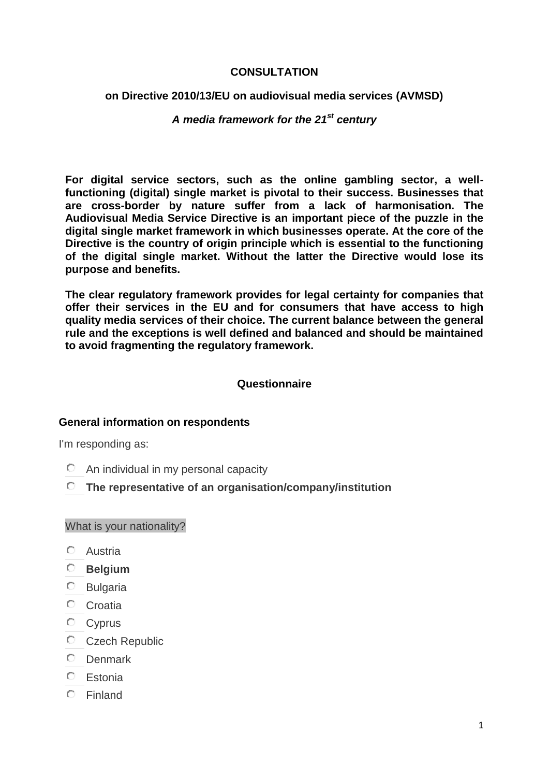# **CONSULTATION**

# **on Directive 2010/13/EU on audiovisual media services (AVMSD)**

# *A media framework for the 21st century*

**For digital service sectors, such as the online gambling sector, a wellfunctioning (digital) single market is pivotal to their success. Businesses that are cross-border by nature suffer from a lack of harmonisation. The Audiovisual Media Service Directive is an important piece of the puzzle in the digital single market framework in which businesses operate. At the core of the Directive is the country of origin principle which is essential to the functioning of the digital single market. Without the latter the Directive would lose its purpose and benefits.**

**The clear regulatory framework provides for legal certainty for companies that offer their services in the EU and for consumers that have access to high quality media services of their choice. The current balance between the general rule and the exceptions is well defined and balanced and should be maintained to avoid fragmenting the regulatory framework.** 

# **Questionnaire**

# **General information on respondents**

I'm responding as:

- **C** An individual in my personal capacity
- **The representative of an organisation/company/institution**

# What is your nationality?

- Austria
- **Belgium**
- Bulgaria
- Croatia
- Cyprus
- C Czech Republic
- Denmark
- Estonia
- Finland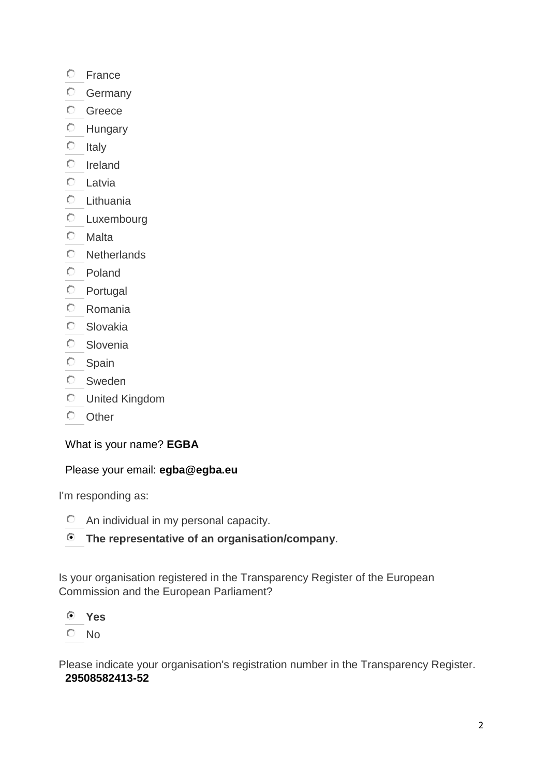- France
- Germany
- Greece
- Hungary
- $O$  Italy
- Ireland
- Latvia
- Lithuania
- Luxembourg
- Malta
- Netherlands
- Poland
- Portugal
- Romania
- Slovakia
- Slovenia
- Spain
- Sweden
- United Kingdom
- Other

What is your name? **EGBA**

# Please your email: **egba@egba.eu**

I'm responding as:

- An individual in my personal capacity.
- **The representative of an organisation/company**.

Is your organisation registered in the Transparency Register of the European Commission and the European Parliament?

- **Yes**
- No

Please indicate your organisation's registration number in the Transparency Register. **29508582413-52**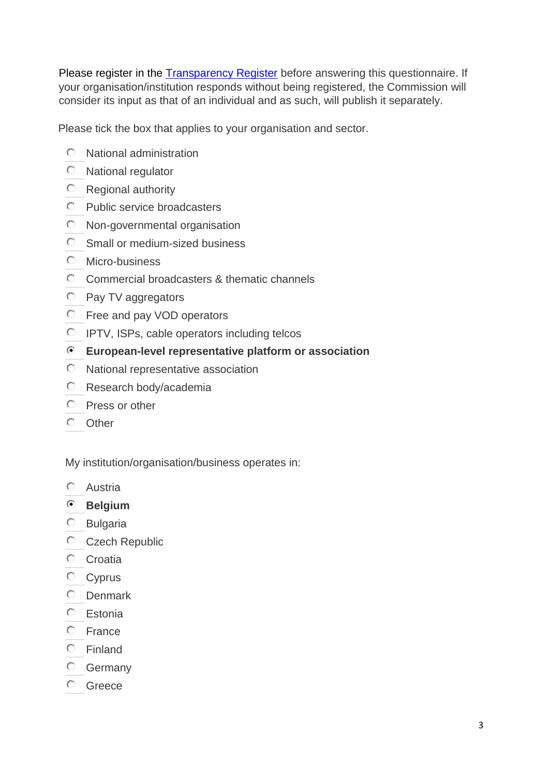Please register in the [Transparency Register](http://ec.europa.eu/transparencyregister/public/homePage.do) before answering this questionnaire. If your organisation/institution responds without being registered, the Commission will consider its input as that of an individual and as such, will publish it separately.

Please tick the box that applies to your organisation and sector.

- National administration
- National regulator
- **C** Regional authority
- Public service broadcasters
- Non-governmental organisation
- **C** Small or medium-sized business
- Micro-business
- C Commercial broadcasters & thematic channels
- Pay TV aggregators
- Free and pay VOD operators
- IPTV, ISPs, cable operators including telcos
- **European-level representative platform or association**
- National representative association
- **C** Research body/academia
- Press or other
- Other

My institution/organisation/business operates in:

- Austria
- **Belgium**
- Bulgaria
- Czech Republic
- Croatia
- Cyprus
- Denmark
- Estonia
- France
- Finland
- Germany
- Greece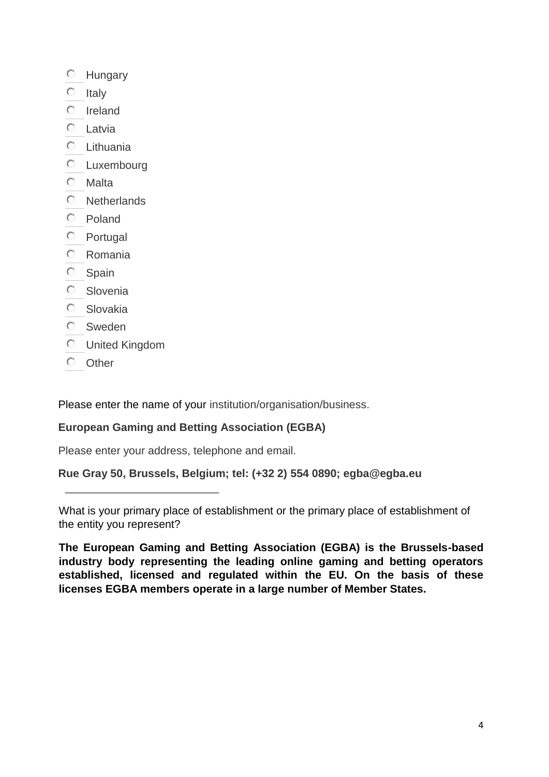- Hungary
- $O$  Italy
- Ireland
- $O$  Latvia
- Lithuania
- Luxembourg
- Malta
- Netherlands
- Poland
- Portugal
- Romania
- Spain
- Slovenia
- Slovakia
- Sweden
- United Kingdom
- O Other

Please enter the name of your institution/organisation/business.

# **European Gaming and Betting Association (EGBA)**

Please enter your address, telephone and email.

\_\_\_\_\_\_\_\_\_\_\_\_\_\_\_\_\_\_\_\_\_\_\_\_\_

# **Rue Gray 50, Brussels, Belgium; tel: (+32 2) 554 0890; egba@egba.eu**

What is your primary place of establishment or the primary place of establishment of the entity you represent?

**The European Gaming and Betting Association (EGBA) is the Brussels-based industry body representing the leading online gaming and betting operators established, licensed and regulated within the EU. On the basis of these licenses EGBA members operate in a large number of Member States.**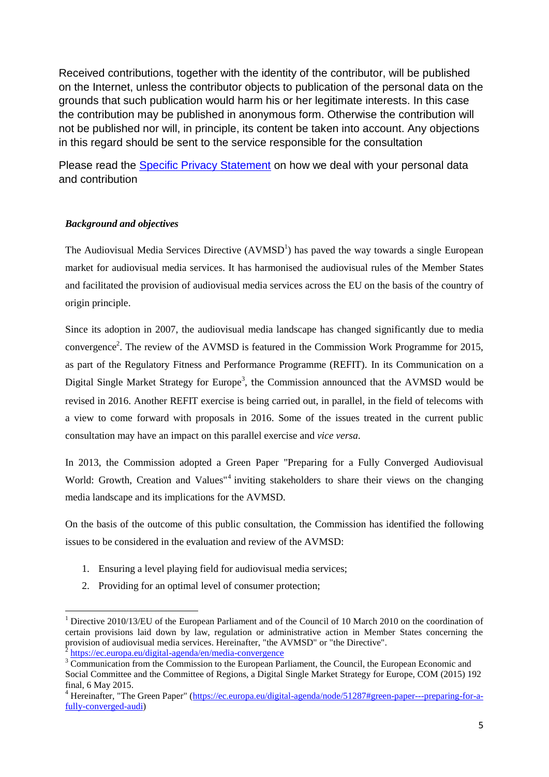Received contributions, together with the identity of the contributor, will be published on the Internet, unless the contributor objects to publication of the personal data on the grounds that such publication would harm his or her legitimate interests. In this case the contribution may be published in anonymous form. Otherwise the contribution will not be published nor will, in principle, its content be taken into account. Any objections in this regard should be sent to the service responsible for the consultation

Please read the [Specific Privacy Statement](http://ec.europa.eu/newsroom/dae/document.cfm?action=display&doc_id=10113) on how we deal with your personal data and contribution

### *Background and objectives*

The Audiovisual Media Services Directive  $(AVMSD<sup>1</sup>)$  has paved the way towards a single European market for audiovisual media services. It has harmonised the audiovisual rules of the Member States and facilitated the provision of audiovisual media services across the EU on the basis of the country of origin principle.

Since its adoption in 2007, the audiovisual media landscape has changed significantly due to media convergence<sup>2</sup>. The review of the AVMSD is featured in the Commission Work Programme for 2015, as part of the Regulatory Fitness and Performance Programme (REFIT). In its Communication on a Digital Single Market Strategy for Europe<sup>3</sup>, the Commission announced that the AVMSD would be revised in 2016. Another REFIT exercise is being carried out, in parallel, in the field of telecoms with a view to come forward with proposals in 2016. Some of the issues treated in the current public consultation may have an impact on this parallel exercise and *vice versa*.

In 2013, the Commission adopted a Green Paper "Preparing for a Fully Converged Audiovisual World: Growth, Creation and Values"<sup>4</sup> inviting stakeholders to share their views on the changing media landscape and its implications for the AVMSD.

On the basis of the outcome of this public consultation, the Commission has identified the following issues to be considered in the evaluation and review of the AVMSD:

- 1. Ensuring a level playing field for audiovisual media services;
- 2. Providing for an optimal level of consumer protection;

1

<sup>&</sup>lt;sup>1</sup> Directive 2010/13/EU of the European Parliament and of the Council of 10 March 2010 on the coordination of certain provisions laid down by law, regulation or administrative action in Member States concerning the provision of audiovisual media services. Hereinafter, "the AVMSD" or "the Directive".  $\overline{2}$ 

<https://ec.europa.eu/digital-agenda/en/media-convergence>

<sup>&</sup>lt;sup>3</sup> Communication from the Commission to the European Parliament, the Council, the European Economic and Social Committee and the Committee of Regions, a Digital Single Market Strategy for Europe, COM (2015) 192 final, 6 May 2015.

<sup>&</sup>lt;sup>4</sup> Hereinafter, "The Green Paper" [\(https://ec.europa.eu/digital-agenda/node/51287#green-paper---preparing-for-a](https://ec.europa.eu/digital-agenda/node/51287#green-paper---preparing-for-a-fully-converged-audi)[fully-converged-audi\)](https://ec.europa.eu/digital-agenda/node/51287#green-paper---preparing-for-a-fully-converged-audi)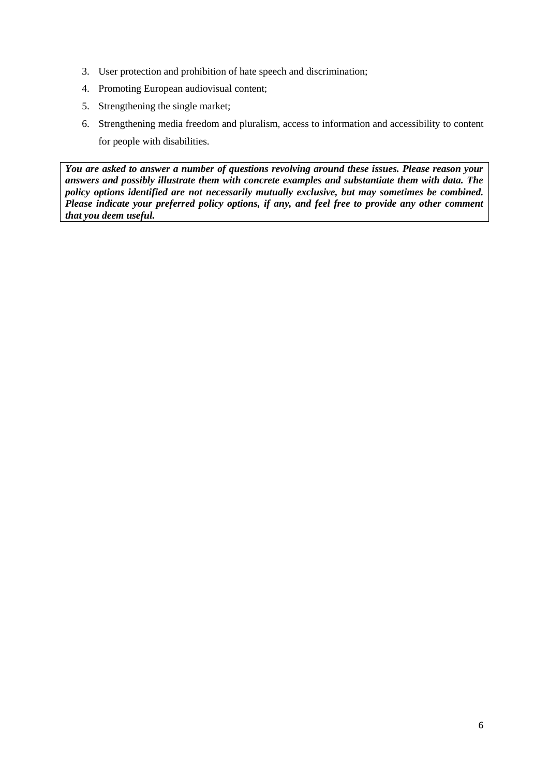- 3. User protection and prohibition of hate speech and discrimination;
- 4. Promoting European audiovisual content;
- 5. Strengthening the single market;
- 6. Strengthening media freedom and pluralism, access to information and accessibility to content for people with disabilities.

*You are asked to answer a number of questions revolving around these issues. Please reason your answers and possibly illustrate them with concrete examples and substantiate them with data. The policy options identified are not necessarily mutually exclusive, but may sometimes be combined. Please indicate your preferred policy options, if any, and feel free to provide any other comment that you deem useful.*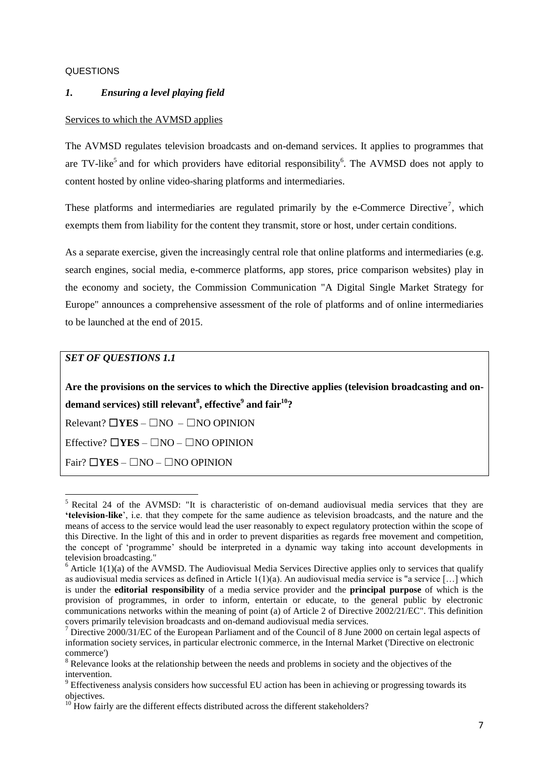#### **QUESTIONS**

#### *1. Ensuring a level playing field*

#### Services to which the AVMSD applies

The AVMSD regulates television broadcasts and on-demand services. It applies to programmes that are TV-like<sup>5</sup> and for which providers have editorial responsibility<sup>6</sup>. The AVMSD does not apply to content hosted by online video-sharing platforms and intermediaries.

These platforms and intermediaries are regulated primarily by the e-Commerce Directive<sup>7</sup>, which exempts them from liability for the content they transmit, store or host, under certain conditions.

As a separate exercise, given the increasingly central role that online platforms and intermediaries (e.g. search engines, social media, e-commerce platforms, app stores, price comparison websites) play in the economy and society, the Commission Communication "A Digital Single Market Strategy for Europe" announces a comprehensive assessment of the role of platforms and of online intermediaries to be launched at the end of 2015.

# *SET OF QUESTIONS 1.1*

**.** 

**Are the provisions on the services to which the Directive applies (television broadcasting and ondemand services) still relevant<sup>8</sup> , effective<sup>9</sup> and fair<sup>10</sup>?** Relevant? ☐**YES** – ☐NO – ☐NO OPINION

Effective? ☐**YES** – ☐NO – ☐NO OPINION

Fair? ☐**YES** – ☐NO – ☐NO OPINION

<sup>&</sup>lt;sup>5</sup> Recital 24 of the AVMSD: "It is characteristic of on-demand audiovisual media services that they are **'television-like**', i.e. that they compete for the same audience as television broadcasts, and the nature and the means of access to the service would lead the user reasonably to expect regulatory protection within the scope of this Directive. In the light of this and in order to prevent disparities as regards free movement and competition, the concept of 'programme' should be interpreted in a dynamic way taking into account developments in television broadcasting."

 $6$  Article 1(1)(a) of the AVMSD. The Audiovisual Media Services Directive applies only to services that qualify as audiovisual media services as defined in Article  $1(1)(a)$ . An audiovisual media service is "a service  $[...]$  which is under the **editorial responsibility** of a media service provider and the **principal purpose** of which is the provision of programmes, in order to inform, entertain or educate, to the general public by electronic communications networks within the meaning of point (a) of Article 2 of Directive 2002/21/EC". This definition covers primarily television broadcasts and on-demand audiovisual media services.

<sup>&</sup>lt;sup>7</sup> Directive 2000/31/EC of the European Parliament and of the Council of 8 June 2000 on certain legal aspects of information society services, in particular electronic commerce, in the Internal Market ('Directive on electronic commerce')

 $8$  Relevance looks at the relationship between the needs and problems in society and the objectives of the intervention.

<sup>&</sup>lt;sup>9</sup> Effectiveness analysis considers how successful EU action has been in achieving or progressing towards its objectives.

 $^{10}$  How fairly are the different effects distributed across the different stakeholders?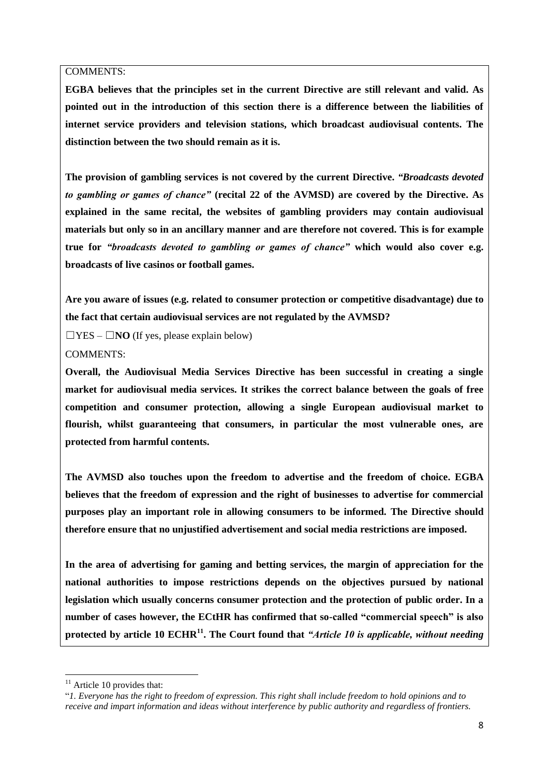#### COMMENTS:

**EGBA believes that the principles set in the current Directive are still relevant and valid. As pointed out in the introduction of this section there is a difference between the liabilities of internet service providers and television stations, which broadcast audiovisual contents. The distinction between the two should remain as it is.** 

**The provision of gambling services is not covered by the current Directive.** *"Broadcasts devoted to gambling or games of chance"* **(recital 22 of the AVMSD) are covered by the Directive. As explained in the same recital, the websites of gambling providers may contain audiovisual materials but only so in an ancillary manner and are therefore not covered. This is for example true for** *"broadcasts devoted to gambling or games of chance"* **which would also cover e.g. broadcasts of live casinos or football games.** 

**Are you aware of issues (e.g. related to consumer protection or competitive disadvantage) due to the fact that certain audiovisual services are not regulated by the AVMSD?**

☐YES – ☐**NO** (If yes, please explain below)

COMMENTS:

**Overall, the Audiovisual Media Services Directive has been successful in creating a single market for audiovisual media services. It strikes the correct balance between the goals of free competition and consumer protection, allowing a single European audiovisual market to flourish, whilst guaranteeing that consumers, in particular the most vulnerable ones, are protected from harmful contents.**

**The AVMSD also touches upon the freedom to advertise and the freedom of choice. EGBA believes that the freedom of expression and the right of businesses to advertise for commercial purposes play an important role in allowing consumers to be informed. The Directive should therefore ensure that no unjustified advertisement and social media restrictions are imposed.**

**In the area of advertising for gaming and betting services, the margin of appreciation for the national authorities to impose restrictions depends on the objectives pursued by national legislation which usually concerns consumer protection and the protection of public order. In a number of cases however, the ECtHR has confirmed that so-called "commercial speech" is also protected by article 10 ECHR<sup>11</sup>. The Court found that** *"Article 10 is applicable, without needing* 

1

 $11$  Article 10 provides that:

<sup>&</sup>quot;*1. Everyone has the right to freedom of expression. This right shall include freedom to hold opinions and to receive and impart information and ideas without interference by public authority and regardless of frontiers.*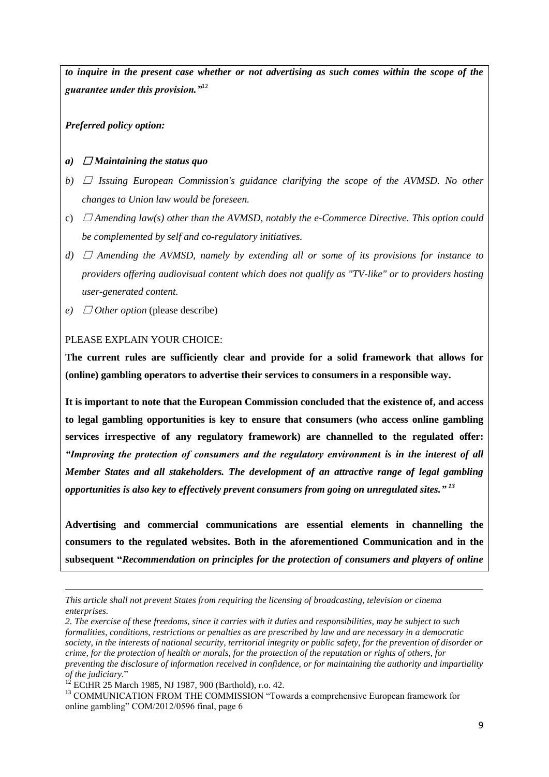*to inquire in the present case whether or not advertising as such comes within the scope of the guarantee under this provision."*<sup>12</sup>

*Preferred policy option:*

#### *a*)  $\Box$  *Maintaining the status quo*

- *b*)  $\Box$  *Issuing European Commission's guidance clarifying the scope of the AVMSD. No other changes to Union law would be foreseen.*
- c)  $\Box$  *Amending law(s) other than the AVMSD, notably the e-Commerce Directive. This option could be complemented by self and co-regulatory initiatives.*
- *d)* ☐ *Amending the AVMSD, namely by extending all or some of its provisions for instance to providers offering audiovisual content which does not qualify as "TV-like" or to providers hosting user-generated content.*
- *e*)  $\Box$  *Other option* (please describe)

#### PLEASE EXPLAIN YOUR CHOICE:

 $\overline{a}$ 

**The current rules are sufficiently clear and provide for a solid framework that allows for (online) gambling operators to advertise their services to consumers in a responsible way.** 

**It is important to note that the European Commission concluded that the existence of, and access to legal gambling opportunities is key to ensure that consumers (who access online gambling services irrespective of any regulatory framework) are channelled to the regulated offer:**  *"Improving the protection of consumers and the regulatory environment is in the interest of all Member States and all stakeholders. The development of an attractive range of legal gambling opportunities is also key to effectively prevent consumers from going on unregulated sites." 13*

**Advertising and commercial communications are essential elements in channelling the consumers to the regulated websites. Both in the aforementioned Communication and in the subsequent "***Recommendation on principles for the protection of consumers and players of online* 

*This article shall not prevent States from requiring the licensing of broadcasting, television or cinema enterprises.* 

*<sup>2.</sup> The exercise of these freedoms, since it carries with it duties and responsibilities, may be subject to such formalities, conditions, restrictions or penalties as are prescribed by law and are necessary in a democratic society, in the interests of national security, territorial integrity or public safety, for the prevention of disorder or crime, for the protection of health or morals, for the protection of the reputation or rights of others, for preventing the disclosure of information received in confidence, or for maintaining the authority and impartiality of the judiciary.*"

 $12$  ECtHR 25 March 1985, NJ 1987, 900 (Barthold), r.o. 42.

<sup>&</sup>lt;sup>13</sup> COMMUNICATION FROM THE COMMISSION "Towards a comprehensive European framework for online gambling" COM/2012/0596 final, page 6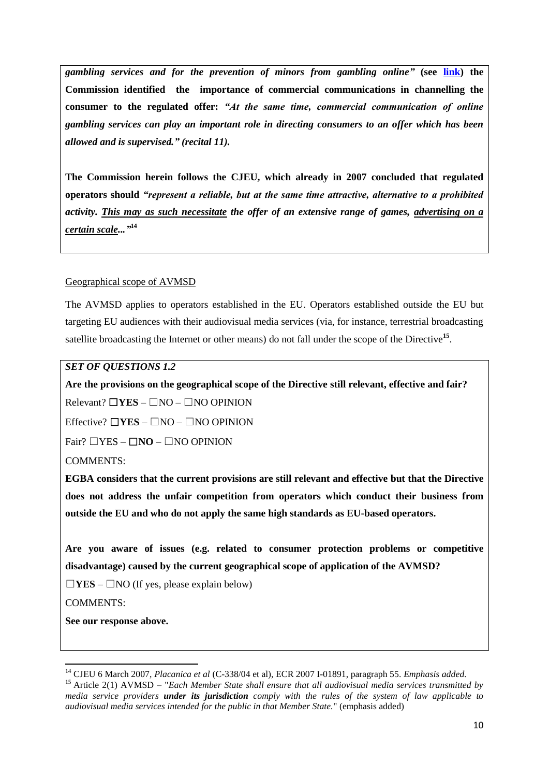*gambling services and for the prevention of minors from gambling online"* **(see [link\)](http://eur-lex.europa.eu/legal-content/EN/TXT/HTML/?uri=CELEX:32014H0478&from=EN) the Commission identified the importance of commercial communications in channelling the consumer to the regulated offer:** *"At the same time, commercial communication of online gambling services can play an important role in directing consumers to an offer which has been allowed and is supervised." (recital 11).*

**The Commission herein follows the CJEU, which already in 2007 concluded that regulated operators should** *"represent a reliable, but at the same time attractive, alternative to a prohibited activity. This may as such necessitate the offer of an extensive range of games, advertising on a certain scale..."***<sup>14</sup>**

#### Geographical scope of AVMSD

The AVMSD applies to operators established in the EU. Operators established outside the EU but targeting EU audiences with their audiovisual media services (via, for instance, terrestrial broadcasting satellite broadcasting the Internet or other means) do not fall under the scope of the Directive<sup>15</sup>.

#### *SET OF QUESTIONS 1.2*

**Are the provisions on the geographical scope of the Directive still relevant, effective and fair?**

Relevant? ☐**YES** – ☐NO – ☐NO OPINION

Effective? ☐**YES** – ☐NO – ☐NO OPINION

Fair? ☐YES – ☐**NO** – ☐NO OPINION

COMMENTS:

**EGBA considers that the current provisions are still relevant and effective but that the Directive does not address the unfair competition from operators which conduct their business from outside the EU and who do not apply the same high standards as EU-based operators.**

**Are you aware of issues (e.g. related to consumer protection problems or competitive disadvantage) caused by the current geographical scope of application of the AVMSD?**

 $\Box$ **YES** –  $\Box$ NO (If yes, please explain below)

COMMENTS:

**.** 

**See our response above.** 

<sup>14</sup> CJEU 6 March 2007, *Placanica et al* (C-338/04 et al), ECR 2007 I-01891, paragraph 55. *Emphasis added.*

<sup>15</sup> Article 2(1) AVMSD – "*Each Member State shall ensure that all audiovisual media services transmitted by media service providers under its jurisdiction comply with the rules of the system of law applicable to audiovisual media services intended for the public in that Member State.*" (emphasis added)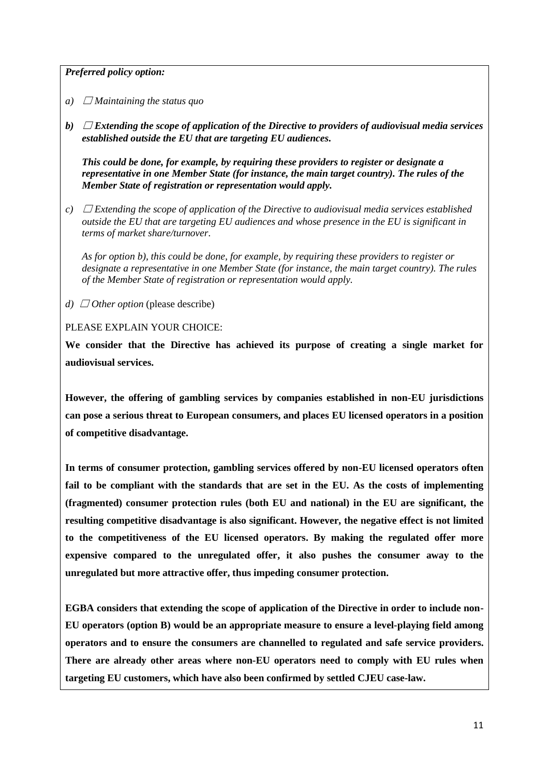*Preferred policy option:*

- *a*)  $\Box$  *Maintaining the status quo*
- *b)* ☐ *Extending the scope of application of the Directive to providers of audiovisual media services established outside the EU that are targeting EU audiences.*

*This could be done, for example, by requiring these providers to register or designate a representative in one Member State (for instance, the main target country). The rules of the Member State of registration or representation would apply.*

*c*)  $\Box$  *Extending the scope of application of the Directive to audiovisual media services established outside the EU that are targeting EU audiences and whose presence in the EU is significant in terms of market share/turnover.*

*As for option b), this could be done, for example, by requiring these providers to register or designate a representative in one Member State (for instance, the main target country). The rules of the Member State of registration or representation would apply.*

*d)*  $\Box$  *Other option* (please describe)

PLEASE EXPLAIN YOUR CHOICE:

**We consider that the Directive has achieved its purpose of creating a single market for audiovisual services.** 

**However, the offering of gambling services by companies established in non-EU jurisdictions can pose a serious threat to European consumers, and places EU licensed operators in a position of competitive disadvantage.**

**In terms of consumer protection, gambling services offered by non-EU licensed operators often fail to be compliant with the standards that are set in the EU. As the costs of implementing (fragmented) consumer protection rules (both EU and national) in the EU are significant, the resulting competitive disadvantage is also significant. However, the negative effect is not limited to the competitiveness of the EU licensed operators. By making the regulated offer more expensive compared to the unregulated offer, it also pushes the consumer away to the unregulated but more attractive offer, thus impeding consumer protection.** 

**EGBA considers that extending the scope of application of the Directive in order to include non-EU operators (option B) would be an appropriate measure to ensure a level-playing field among operators and to ensure the consumers are channelled to regulated and safe service providers. There are already other areas where non-EU operators need to comply with EU rules when targeting EU customers, which have also been confirmed by settled CJEU case-law.**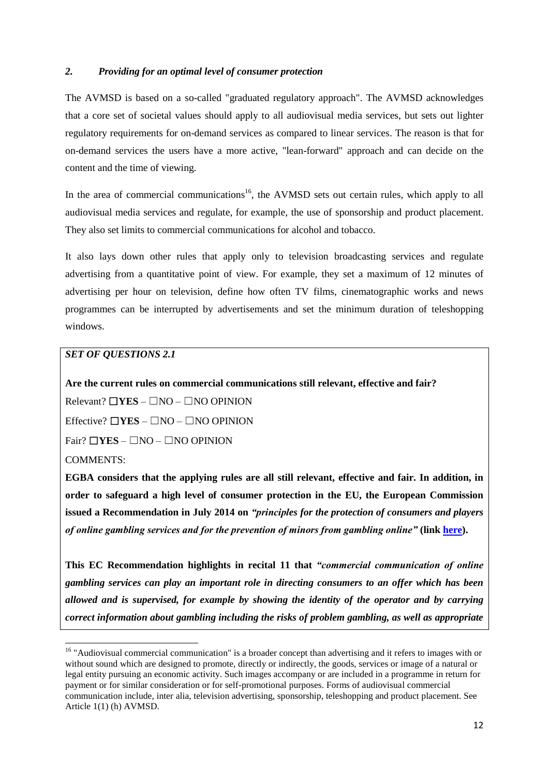#### *2. Providing for an optimal level of consumer protection*

The AVMSD is based on a so-called "graduated regulatory approach". The AVMSD acknowledges that a core set of societal values should apply to all audiovisual media services, but sets out lighter regulatory requirements for on-demand services as compared to linear services. The reason is that for on-demand services the users have a more active, "lean-forward" approach and can decide on the content and the time of viewing.

In the area of commercial communications<sup>16</sup>, the AVMSD sets out certain rules, which apply to all audiovisual media services and regulate, for example, the use of sponsorship and product placement. They also set limits to commercial communications for alcohol and tobacco.

It also lays down other rules that apply only to television broadcasting services and regulate advertising from a quantitative point of view. For example, they set a maximum of 12 minutes of advertising per hour on television, define how often TV films, cinematographic works and news programmes can be interrupted by advertisements and set the minimum duration of teleshopping windows.

#### *SET OF QUESTIONS 2.1*

**Are the current rules on commercial communications still relevant, effective and fair?**

Relevant? ☐**YES** – ☐NO – ☐NO OPINION

Effective? ☐**YES** – ☐NO – ☐NO OPINION

Fair? ☐**YES** – ☐NO – ☐NO OPINION

COMMENTS:

 $\overline{a}$ 

**EGBA considers that the applying rules are all still relevant, effective and fair. In addition, in order to safeguard a high level of consumer protection in the EU, the European Commission issued a Recommendation in July 2014 on** *"principles for the protection of consumers and players of online gambling services and for the prevention of minors from gambling online"* **(link [here\)](http://eur-lex.europa.eu/legal-content/EN/TXT/HTML/?uri=CELEX:32014H0478&from=EN).**

**This EC Recommendation highlights in recital 11 that** *"commercial communication of online gambling services can play an important role in directing consumers to an offer which has been allowed and is supervised, for example by showing the identity of the operator and by carrying correct information about gambling including the risks of problem gambling, as well as appropriate* 

<sup>&</sup>lt;sup>16</sup> "Audiovisual commercial communication" is a broader concept than advertising and it refers to images with or without sound which are designed to promote, directly or indirectly, the goods, services or image of a natural or legal entity pursuing an economic activity. Such images accompany or are included in a programme in return for payment or for similar consideration or for self-promotional purposes. Forms of audiovisual commercial communication include, inter alia, television advertising, sponsorship, teleshopping and product placement. See Article 1(1) (h) AVMSD.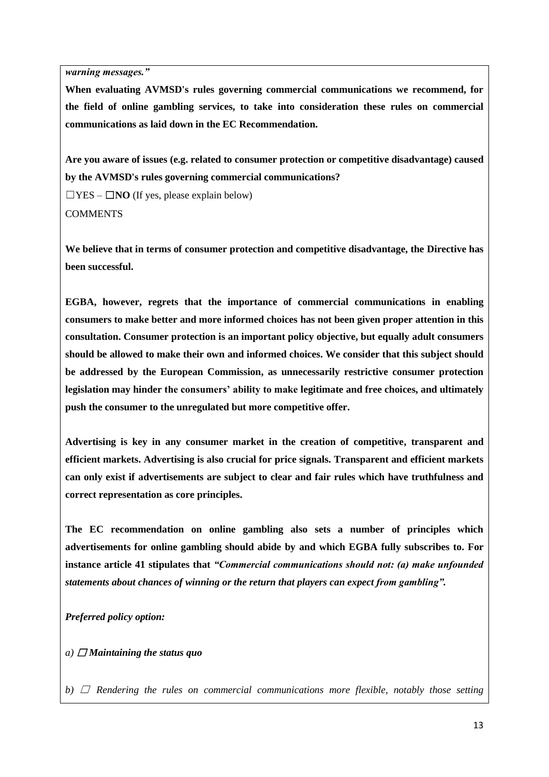*warning messages."*

**When evaluating AVMSD's rules governing commercial communications we recommend, for the field of online gambling services, to take into consideration these rules on commercial communications as laid down in the EC Recommendation.** 

**Are you aware of issues (e.g. related to consumer protection or competitive disadvantage) caused by the AVMSD's rules governing commercial communications?** 

☐YES – ☐**NO** (If yes, please explain below) **COMMENTS** 

**We believe that in terms of consumer protection and competitive disadvantage, the Directive has been successful.** 

**EGBA, however, regrets that the importance of commercial communications in enabling consumers to make better and more informed choices has not been given proper attention in this consultation. Consumer protection is an important policy objective, but equally adult consumers should be allowed to make their own and informed choices. We consider that this subject should be addressed by the European Commission, as unnecessarily restrictive consumer protection legislation may hinder the consumers' ability to make legitimate and free choices, and ultimately push the consumer to the unregulated but more competitive offer.**

**Advertising is key in any consumer market in the creation of competitive, transparent and efficient markets. Advertising is also crucial for price signals. Transparent and efficient markets can only exist if advertisements are subject to clear and fair rules which have truthfulness and correct representation as core principles.**

**The EC recommendation on online gambling also sets a number of principles which advertisements for online gambling should abide by and which EGBA fully subscribes to. For instance article 41 stipulates that** *"Commercial communications should not: (a) make unfounded statements about chances of winning or the return that players can expect from gambling".* 

*Preferred policy option:*

 $a)$   $\Box$  *Maintaining the status quo* 

*b)*  $\Box$  *Rendering the rules on commercial communications more flexible, notably those setting*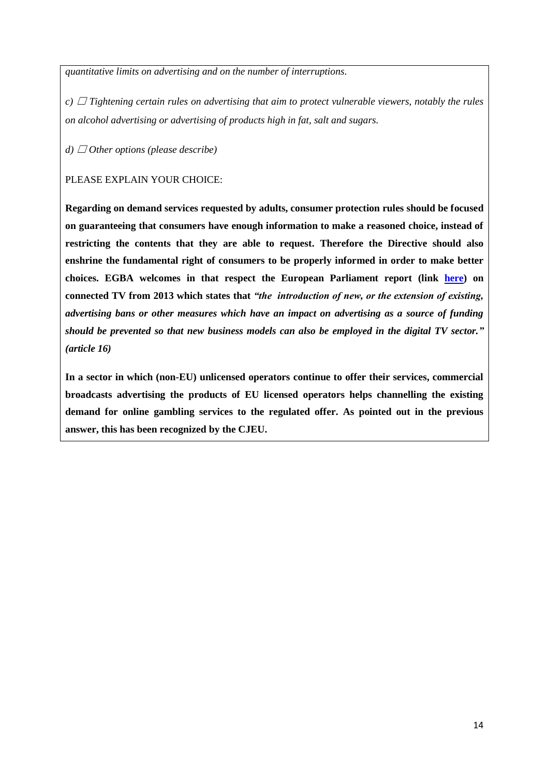*quantitative limits on advertising and on the number of interruptions.*

*c*)  $\Box$  **Tightening certain rules on advertising that aim to protect vulnerable viewers, notably the rules** *on alcohol advertising or advertising of products high in fat, salt and sugars.*

*d)*  $\Box$  *Other options (please describe)* 

PLEASE EXPLAIN YOUR CHOICE:

**Regarding on demand services requested by adults, consumer protection rules should be focused on guaranteeing that consumers have enough information to make a reasoned choice, instead of restricting the contents that they are able to request. Therefore the Directive should also enshrine the fundamental right of consumers to be properly informed in order to make better choices. EGBA welcomes in that respect the European Parliament report (link [here\)](http://www.europarl.europa.eu/sides/getDoc.do?pubRef=-%2f%2fEP%2f%2fNONSGML%2bREPORT%2bA7-2013-0212%2b0%2bDOC%2bPDF%2bV0%2f%2fEN) on connected TV from 2013 which states that** *"the introduction of new, or the extension of existing, advertising bans or other measures which have an impact on advertising as a source of funding should be prevented so that new business models can also be employed in the digital TV sector." (article 16)*

**In a sector in which (non-EU) unlicensed operators continue to offer their services, commercial broadcasts advertising the products of EU licensed operators helps channelling the existing demand for online gambling services to the regulated offer. As pointed out in the previous answer, this has been recognized by the CJEU.**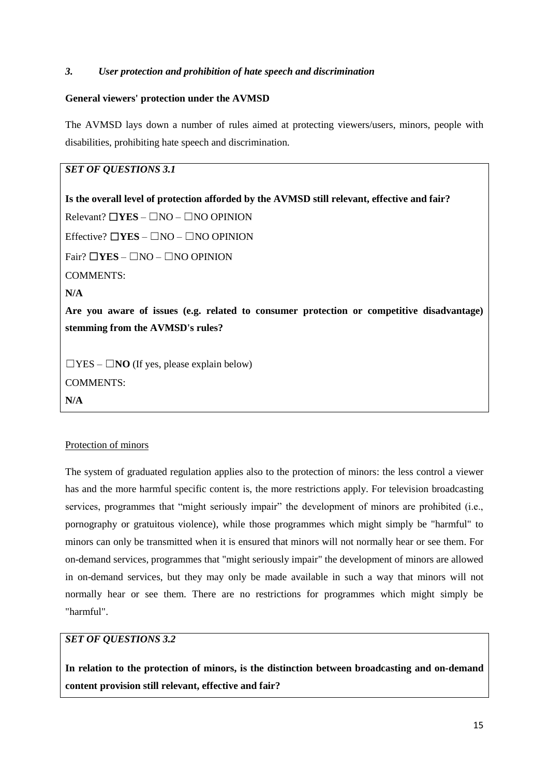## *3. User protection and prohibition of hate speech and discrimination*

#### **General viewers' protection under the AVMSD**

The AVMSD lays down a number of rules aimed at protecting viewers/users, minors, people with disabilities, prohibiting hate speech and discrimination.

## *SET OF QUESTIONS 3.1*

**Is the overall level of protection afforded by the AVMSD still relevant, effective and fair?**  Relevant? ☐**YES** – ☐NO – ☐NO OPINION Effective? ☐**YES** – ☐NO – ☐NO OPINION Fair? ☐**YES** – ☐NO – ☐NO OPINION COMMENTS: **N/A Are you aware of issues (e.g. related to consumer protection or competitive disadvantage) stemming from the AVMSD's rules?** ☐YES – ☐**NO** (If yes, please explain below) COMMENTS: **N/A**

### Protection of minors

The system of graduated regulation applies also to the protection of minors: the less control a viewer has and the more harmful specific content is, the more restrictions apply. For television broadcasting services, programmes that "might seriously impair" the development of minors are prohibited (i.e., pornography or gratuitous violence), while those programmes which might simply be "harmful" to minors can only be transmitted when it is ensured that minors will not normally hear or see them. For on-demand services, programmes that "might seriously impair" the development of minors are allowed in on-demand services, but they may only be made available in such a way that minors will not normally hear or see them. There are no restrictions for programmes which might simply be "harmful".

### *SET OF QUESTIONS 3.2*

**In relation to the protection of minors, is the distinction between broadcasting and on-demand content provision still relevant, effective and fair?**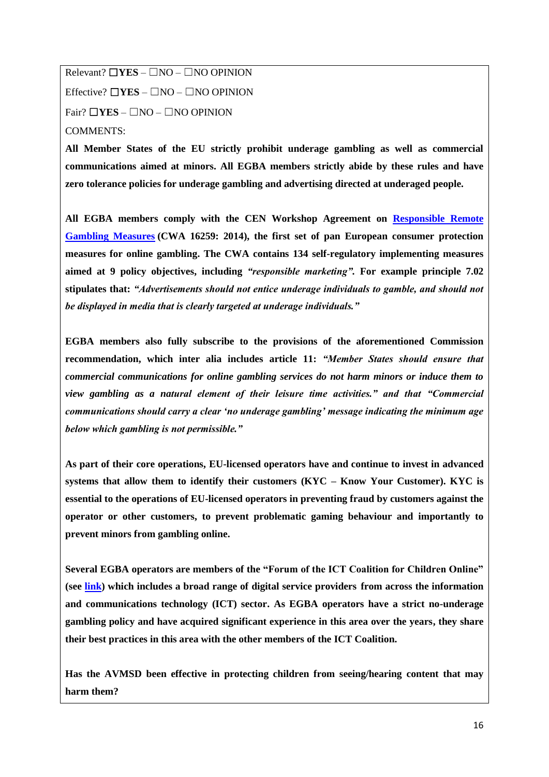Relevant? ☐**YES** – ☐NO – ☐NO OPINION Effective? ☐**YES** – ☐NO – ☐NO OPINION Fair? ☐**YES** – ☐NO – ☐NO OPINION COMMENTS:

**All Member States of the EU strictly prohibit underage gambling as well as commercial communications aimed at minors. All EGBA members strictly abide by these rules and have zero tolerance policies for underage gambling and advertising directed at underaged people.** 

**All EGBA members comply with the CEN Workshop Agreement on [Responsible Remote](ftp://ftp.cen.eu/CEN/AboutUs/Publications/GamblingMeasures.pdf)  [Gambling Measures](ftp://ftp.cen.eu/CEN/AboutUs/Publications/GamblingMeasures.pdf) (CWA 16259: 2014), the first set of pan European consumer protection measures for online gambling. The CWA contains 134 self-regulatory implementing measures aimed at 9 policy objectives, including** *"responsible marketing".* **For example principle 7.02 stipulates that:** *"Advertisements should not entice underage individuals to gamble, and should not be displayed in media that is clearly targeted at underage individuals."*

**EGBA members also fully subscribe to the provisions of the aforementioned Commission recommendation, which inter alia includes article 11:** *"Member States should ensure that commercial communications for online gambling services do not harm minors or induce them to view gambling as a natural element of their leisure time activities." and that "Commercial communications should carry a clear 'no underage gambling' message indicating the minimum age below which gambling is not permissible."*

**As part of their core operations, EU-licensed operators have and continue to invest in advanced systems that allow them to identify their customers (KYC – Know Your Customer). KYC is essential to the operations of EU-licensed operators in preventing fraud by customers against the operator or other customers, to prevent problematic gaming behaviour and importantly to prevent minors from gambling online.** 

**Several EGBA operators are members of the "Forum of the ICT Coalition for Children Online" (see [link\)](http://www.ictcoalition.eu/members) which includes a broad range of digital service providers from across the information and communications technology (ICT) sector. As EGBA operators have a strict no-underage gambling policy and have acquired significant experience in this area over the years, they share their best practices in this area with the other members of the ICT Coalition.** 

**Has the AVMSD been effective in protecting children from seeing/hearing content that may harm them?**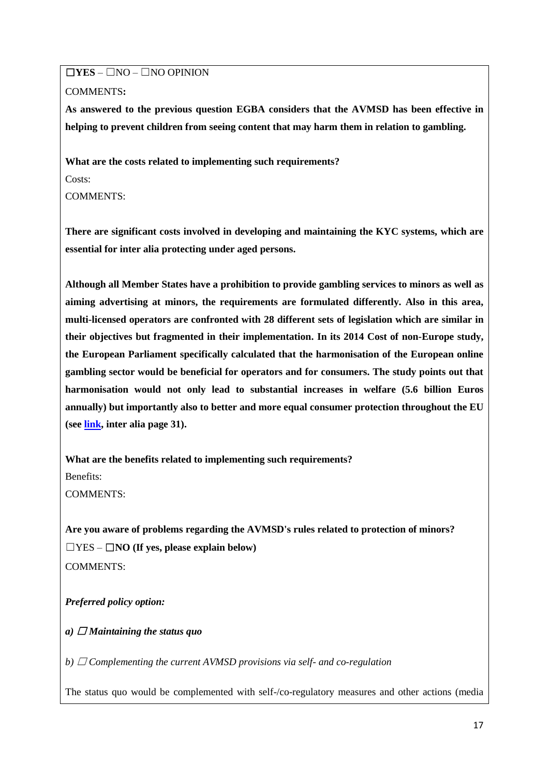☐**YES** – ☐NO – ☐NO OPINION COMMENTS**:**

**As answered to the previous question EGBA considers that the AVMSD has been effective in helping to prevent children from seeing content that may harm them in relation to gambling.** 

**What are the costs related to implementing such requirements?** Costs:

COMMENTS:

**There are significant costs involved in developing and maintaining the KYC systems, which are essential for inter alia protecting under aged persons.** 

**Although all Member States have a prohibition to provide gambling services to minors as well as aiming advertising at minors, the requirements are formulated differently. Also in this area, multi-licensed operators are confronted with 28 different sets of legislation which are similar in their objectives but fragmented in their implementation. In its 2014 Cost of non-Europe study, the European Parliament specifically calculated that the harmonisation of the European online gambling sector would be beneficial for operators and for consumers. The study points out that harmonisation would not only lead to substantial increases in welfare (5.6 billion Euros annually) but importantly also to better and more equal consumer protection throughout the EU (see [link,](http://www.europarl.europa.eu/RegData/etudes/STUD/2014/510981/EPRS_STU(2014)510981_REV1_EN.pdf) inter alia page 31).** 

**What are the benefits related to implementing such requirements?** Benefits: COMMENTS:

**Are you aware of problems regarding the AVMSD's rules related to protection of minors?**  ☐YES – ☐**NO (If yes, please explain below)** COMMENTS:

*Preferred policy option:*

*a*)  $\Box$  *Maintaining the status quo* 

*b)*  $\Box$  *Complementing the current AVMSD provisions via self-* and *co-regulation* 

The status quo would be complemented with self-/co-regulatory measures and other actions (media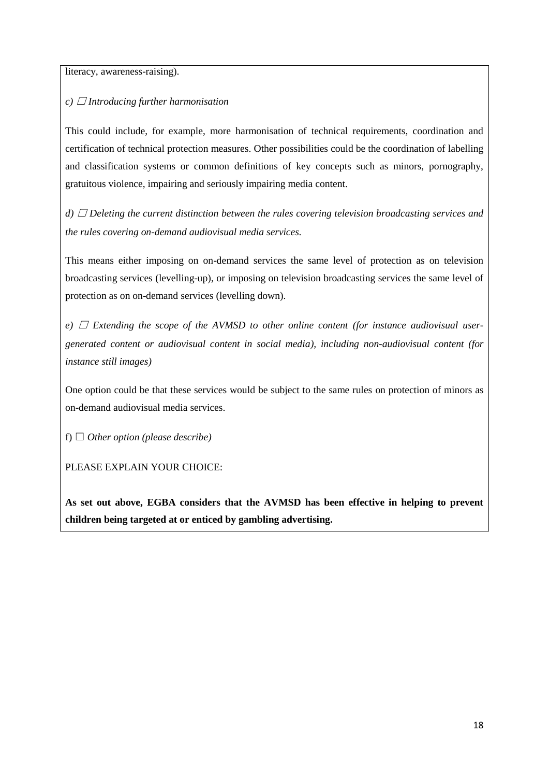literacy, awareness-raising).

*c)* ☐ *Introducing further harmonisation*

This could include, for example, more harmonisation of technical requirements, coordination and certification of technical protection measures. Other possibilities could be the coordination of labelling and classification systems or common definitions of key concepts such as minors, pornography, gratuitous violence, impairing and seriously impairing media content.

*d*) □ *Deleting the current distinction between the rules covering television broadcasting services and the rules covering on-demand audiovisual media services.*

This means either imposing on on-demand services the same level of protection as on television broadcasting services (levelling-up), or imposing on television broadcasting services the same level of protection as on on-demand services (levelling down).

 $e)$   $\Box$  *Extending the scope of the AVMSD to other online content (for instance audiovisual usergenerated content or audiovisual content in social media), including non-audiovisual content (for instance still images)*

One option could be that these services would be subject to the same rules on protection of minors as on-demand audiovisual media services.

f)  $\Box$  *Other option (please describe)* 

PLEASE EXPLAIN YOUR CHOICE:

**As set out above, EGBA considers that the AVMSD has been effective in helping to prevent children being targeted at or enticed by gambling advertising.**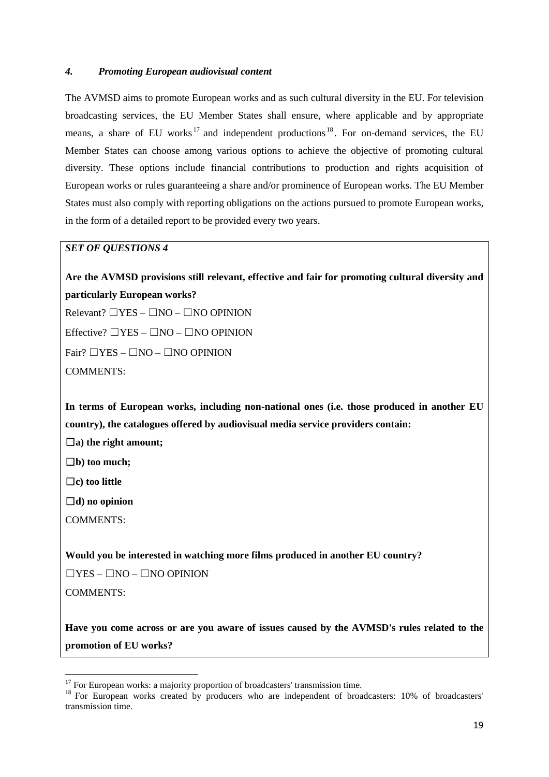#### *4. Promoting European audiovisual content*

The AVMSD aims to promote European works and as such cultural diversity in the EU. For television broadcasting services, the EU Member States shall ensure, where applicable and by appropriate means, a share of EU works<sup>17</sup> and independent productions<sup>18</sup>. For on-demand services, the EU Member States can choose among various options to achieve the objective of promoting cultural diversity. These options include financial contributions to production and rights acquisition of European works or rules guaranteeing a share and/or prominence of European works. The EU Member States must also comply with reporting obligations on the actions pursued to promote European works, in the form of a detailed report to be provided every two years.

## *SET OF QUESTIONS 4*

**Are the AVMSD provisions still relevant, effective and fair for promoting cultural diversity and particularly European works?**

 $Relevant? \Box Yes - \Box NO - \Box NO$  OPINION Effective?  $\Box$ YES –  $\Box$ NO –  $\Box$ NO OPINION  $Fair? \square YES - \square NO - \square NO$  OPINION COMMENTS:

**In terms of European works, including non-national ones (i.e. those produced in another EU country), the catalogues offered by audiovisual media service providers contain:**

☐**a) the right amount;**

☐**b) too much;**

☐**c) too little**

☐**d) no opinion**

COMMENTS:

**Would you be interested in watching more films produced in another EU country?**

 $\Box$ YES –  $\Box$ NO –  $\Box$ NO OPINION

COMMENTS:

1

**Have you come across or are you aware of issues caused by the AVMSD's rules related to the promotion of EU works?**

<sup>&</sup>lt;sup>17</sup> For European works: a majority proportion of broadcasters' transmission time.

<sup>&</sup>lt;sup>18</sup> For European works created by producers who are independent of broadcasters: 10% of broadcasters' transmission time.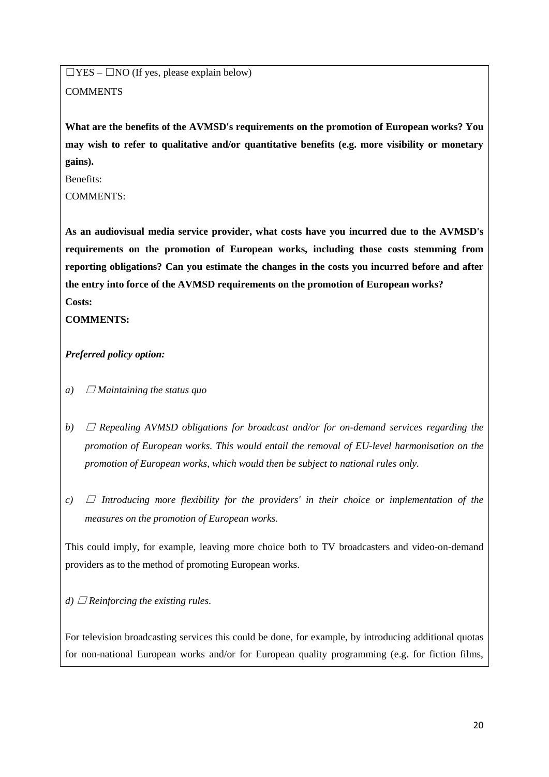$\Box$ YES –  $\Box$ NO (If yes, please explain below) **COMMENTS** 

**What are the benefits of the AVMSD's requirements on the promotion of European works? You may wish to refer to qualitative and/or quantitative benefits (e.g. more visibility or monetary gains).**

Benefits:

COMMENTS:

**As an audiovisual media service provider, what costs have you incurred due to the AVMSD's requirements on the promotion of European works, including those costs stemming from reporting obligations? Can you estimate the changes in the costs you incurred before and after the entry into force of the AVMSD requirements on the promotion of European works? Costs:**

**COMMENTS:**

## *Preferred policy option:*

- *a*)  $\Box$  *Maintaining the status quo*
- *b)* ☐ *Repealing AVMSD obligations for broadcast and/or for on-demand services regarding the promotion of European works. This would entail the removal of EU-level harmonisation on the promotion of European works, which would then be subject to national rules only.*
- $c)$   $\Box$  *Introducing more flexibility for the providers' in their choice or implementation of the measures on the promotion of European works.*

This could imply, for example, leaving more choice both to TV broadcasters and video-on-demand providers as to the method of promoting European works.

*d*)  $\Box$  *Reinforcing the existing rules.* 

For television broadcasting services this could be done, for example, by introducing additional quotas for non-national European works and/or for European quality programming (e.g. for fiction films,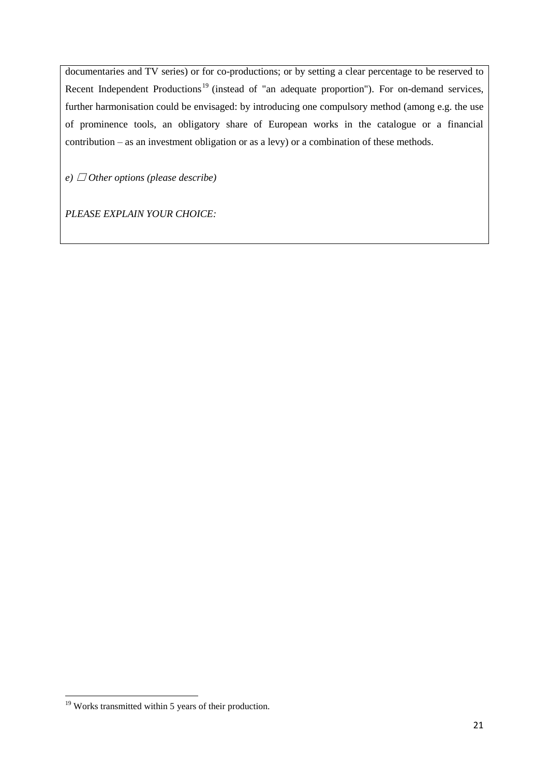documentaries and TV series) or for co-productions; or by setting a clear percentage to be reserved to Recent Independent Productions<sup>19</sup> (instead of "an adequate proportion"). For on-demand services, further harmonisation could be envisaged: by introducing one compulsory method (among e.g. the use of prominence tools, an obligatory share of European works in the catalogue or a financial contribution – as an investment obligation or as a levy) or a combination of these methods.

 $e)$   $\Box$  *Other options (please describe)* 

*PLEASE EXPLAIN YOUR CHOICE:*

**.** 

 $19$  Works transmitted within 5 years of their production.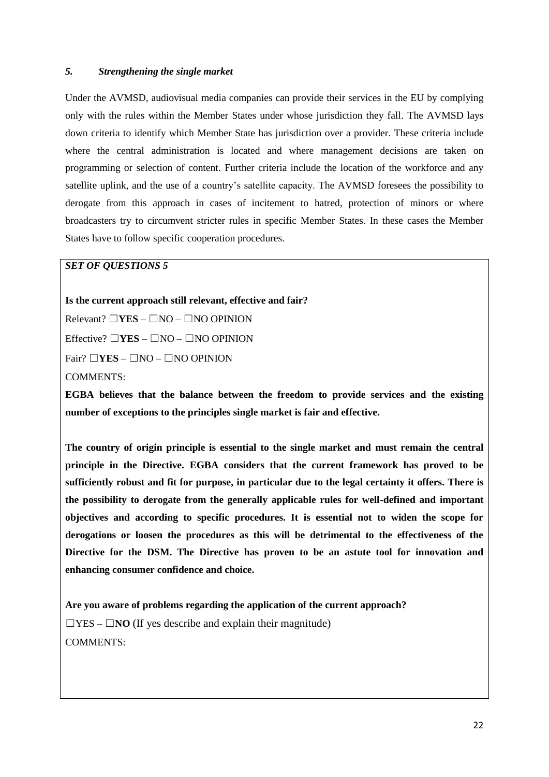#### *5. Strengthening the single market*

Under the AVMSD, audiovisual media companies can provide their services in the EU by complying only with the rules within the Member States under whose jurisdiction they fall. The AVMSD lays down criteria to identify which Member State has jurisdiction over a provider. These criteria include where the central administration is located and where management decisions are taken on programming or selection of content. Further criteria include the location of the workforce and any satellite uplink, and the use of a country's satellite capacity. The AVMSD foresees the possibility to derogate from this approach in cases of incitement to hatred, protection of minors or where broadcasters try to circumvent stricter rules in specific Member States. In these cases the Member States have to follow specific cooperation procedures.

#### *SET OF QUESTIONS 5*

**Is the current approach still relevant, effective and fair?**

Relevant? ☐**YES** – ☐NO – ☐NO OPINION

Effective? ☐**YES** – ☐NO – ☐NO OPINION

Fair? ☐**YES** – ☐NO – ☐NO OPINION

COMMENTS:

**EGBA believes that the balance between the freedom to provide services and the existing number of exceptions to the principles single market is fair and effective.** 

**The country of origin principle is essential to the single market and must remain the central principle in the Directive. EGBA considers that the current framework has proved to be sufficiently robust and fit for purpose, in particular due to the legal certainty it offers. There is the possibility to derogate from the generally applicable rules for well-defined and important objectives and according to specific procedures. It is essential not to widen the scope for derogations or loosen the procedures as this will be detrimental to the effectiveness of the Directive for the DSM. The Directive has proven to be an astute tool for innovation and enhancing consumer confidence and choice.** 

**Are you aware of problems regarding the application of the current approach?** ☐YES – ☐**NO** (If yes describe and explain their magnitude) COMMENTS: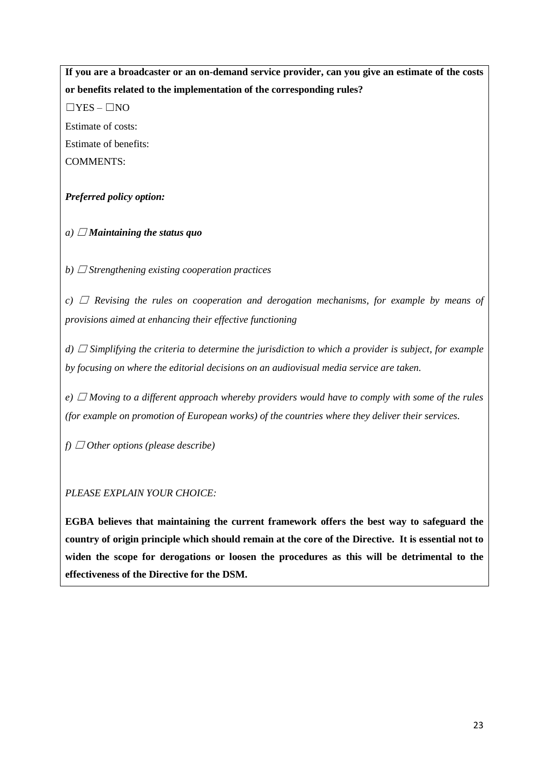**If you are a broadcaster or an on-demand service provider, can you give an estimate of the costs or benefits related to the implementation of the corresponding rules?**  $\Box$ YES –  $\Box$ NO Estimate of costs:

Estimate of benefits:

COMMENTS:

## *Preferred policy option:*

 $a)$   $\Box$  *Maintaining the status quo* 

*b*)  $\Box$  *Strengthening existing cooperation practices* 

*c)*  $\Box$  *Revising the rules on cooperation and derogation mechanisms, for example by means of provisions aimed at enhancing their effective functioning*

*d)*  $\Box$  *Simplifying the criteria to determine the jurisdiction to which a provider is subject, for example by focusing on where the editorial decisions on an audiovisual media service are taken.*

*e*) □ *Moving to a different approach whereby providers would have to comply with some of the rules (for example on promotion of European works) of the countries where they deliver their services.* 

 $f)$   $\Box$  *Other options (please describe)* 

*PLEASE EXPLAIN YOUR CHOICE:*

**EGBA believes that maintaining the current framework offers the best way to safeguard the country of origin principle which should remain at the core of the Directive. It is essential not to widen the scope for derogations or loosen the procedures as this will be detrimental to the effectiveness of the Directive for the DSM.**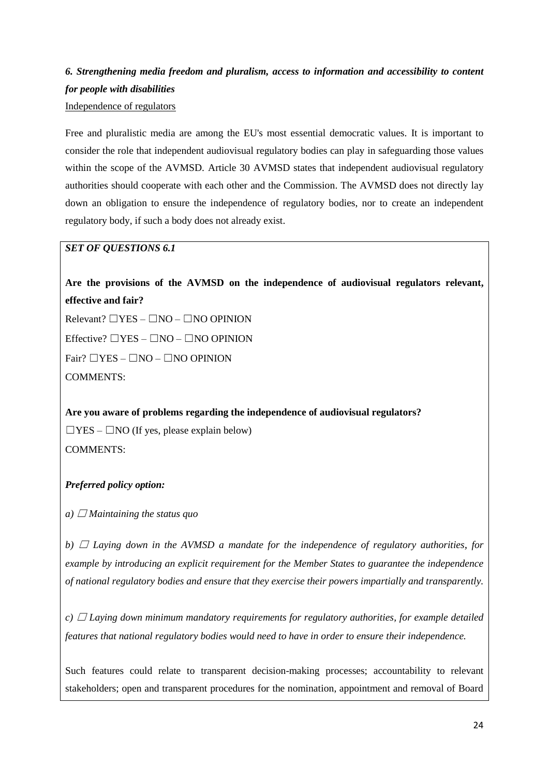# *6. Strengthening media freedom and pluralism, access to information and accessibility to content for people with disabilities* Independence of regulators

Free and pluralistic media are among the EU's most essential democratic values. It is important to consider the role that independent audiovisual regulatory bodies can play in safeguarding those values within the scope of the AVMSD. Article 30 AVMSD states that independent audiovisual regulatory authorities should cooperate with each other and the Commission. The AVMSD does not directly lay down an obligation to ensure the independence of regulatory bodies, nor to create an independent regulatory body, if such a body does not already exist.

## *SET OF QUESTIONS 6.1*

**Are the provisions of the AVMSD on the independence of audiovisual regulators relevant, effective and fair?**

 $Relevant? \Box Yes - \Box NO - \Box NO$  OPINION Effective?  $\Box$ YES –  $\Box$ NO –  $\Box$ NO OPINION Fair?  $\Box$ YES –  $\Box$ NO –  $\Box$ NO OPINION COMMENTS:

**Are you aware of problems regarding the independence of audiovisual regulators?**   $\Box$ YES –  $\Box$ NO (If yes, please explain below) COMMENTS:

### *Preferred policy option:*

*a*)  $\Box$  *Maintaining the status quo* 

*b)*  $\Box$  *Laying down in the AVMSD a mandate for the independence of regulatory authorities, for example by introducing an explicit requirement for the Member States to guarantee the independence of national regulatory bodies and ensure that they exercise their powers impartially and transparently.*

*c*)  $\Box$  *Laying down minimum mandatory requirements for regulatory authorities, for example detailed features that national regulatory bodies would need to have in order to ensure their independence.*

Such features could relate to transparent decision-making processes; accountability to relevant stakeholders; open and transparent procedures for the nomination, appointment and removal of Board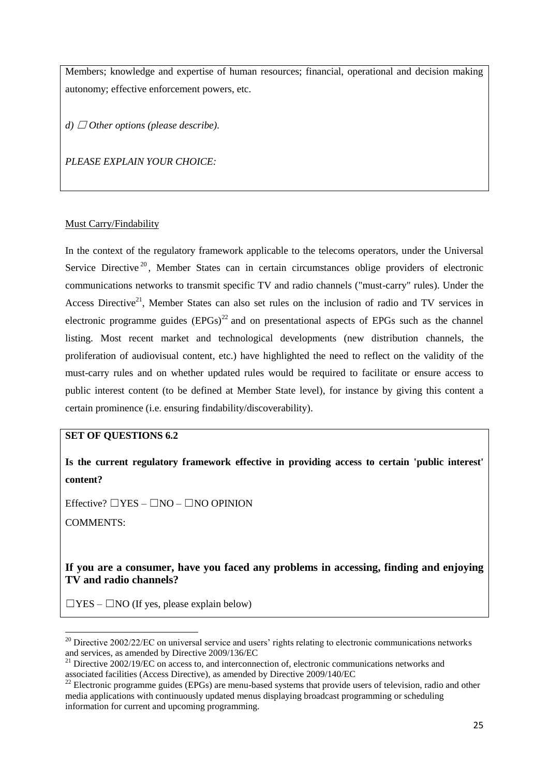Members; knowledge and expertise of human resources; financial, operational and decision making autonomy; effective enforcement powers, etc.

*d)*  $\Box$  *Other options (please describe).* 

*PLEASE EXPLAIN YOUR CHOICE:*

#### Must Carry/Findability

In the context of the regulatory framework applicable to the telecoms operators, under the Universal Service Directive<sup>20</sup>, Member States can in certain circumstances oblige providers of electronic communications networks to transmit specific TV and radio channels ("must-carry" rules). Under the Access Directive<sup>21</sup>, Member States can also set rules on the inclusion of radio and TV services in electronic programme guides  $(EPGs)^{22}$  and on presentational aspects of EPGs such as the channel listing. Most recent market and technological developments (new distribution channels, the proliferation of audiovisual content, etc.) have highlighted the need to reflect on the validity of the must-carry rules and on whether updated rules would be required to facilitate or ensure access to public interest content (to be defined at Member State level), for instance by giving this content a certain prominence (i.e. ensuring findability/discoverability).

## **SET OF QUESTIONS 6.2**

**Is the current regulatory framework effective in providing access to certain 'public interest' content?**

Effective?  $\Box$ YES –  $\Box$ NO –  $\Box$ NO OPINION

COMMENTS:

**.** 

**If you are a consumer, have you faced any problems in accessing, finding and enjoying TV and radio channels?**

 $\Box$ YES –  $\Box$ NO (If yes, please explain below)

 $^{20}$  Directive 2002/22/EC on universal service and users' rights relating to electronic communications networks and services, as amended by Directive 2009/136/EC

<sup>&</sup>lt;sup>21</sup> Directive 2002/19/EC on access to, and interconnection of, electronic communications networks and associated facilities (Access Directive), as amended by Directive 2009/140/EC

 $^{22}$  Electronic programme guides (EPGs) are menu-based systems that provide users of television, radio and other media applications with continuously updated menus displaying broadcast programming or scheduling information for current and upcoming programming.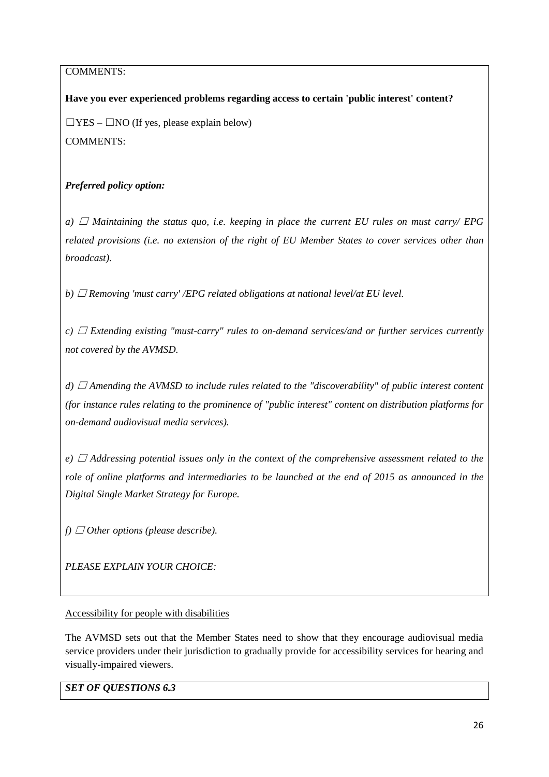COMMENTS:

**Have you ever experienced problems regarding access to certain 'public interest' content?** 

 $\Box$ YES –  $\Box$ NO (If yes, please explain below) COMMENTS:

# *Preferred policy option:*

*a)*  $\Box$  *Maintaining the status quo, i.e. keeping in place the current EU rules on must carry/ EPG related provisions (i.e. no extension of the right of EU Member States to cover services other than broadcast).*

*b)* ☐ *Removing 'must carry' /EPG related obligations at national level/at EU level.*

*c)* ☐ *Extending existing "must-carry" rules to on-demand services/and or further services currently not covered by the AVMSD.*

*d)*  $\Box$  *Amending the AVMSD to include rules related to the "discoverability" of public interest content (for instance rules relating to the prominence of "public interest" content on distribution platforms for on-demand audiovisual media services).*

 $e)$   $\Box$  *Addressing potential issues only in the context of the comprehensive assessment related to the role of online platforms and intermediaries to be launched at the end of 2015 as announced in the Digital Single Market Strategy for Europe.*

*f*)  $\Box$  *Other options (please describe).* 

*PLEASE EXPLAIN YOUR CHOICE:*

Accessibility for people with disabilities

The AVMSD sets out that the Member States need to show that they encourage audiovisual media service providers under their jurisdiction to gradually provide for accessibility services for hearing and visually-impaired viewers.

*SET OF QUESTIONS 6.3*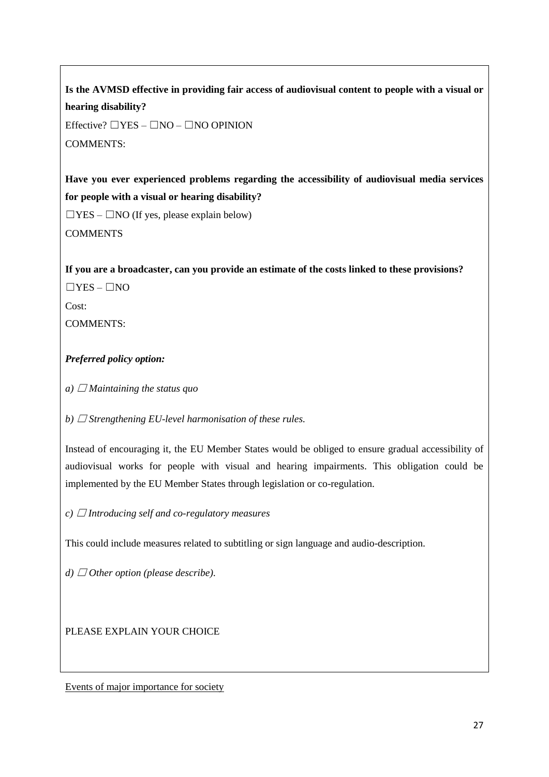**Is the AVMSD effective in providing fair access of audiovisual content to people with a visual or hearing disability?**

Effective?  $\Box$ YES –  $\Box$ NO –  $\Box$ NO OPINION COMMENTS:

**Have you ever experienced problems regarding the accessibility of audiovisual media services for people with a visual or hearing disability?**

 $\Box$ YES –  $\Box$ NO (If yes, please explain below) **COMMENTS** 

**If you are a broadcaster, can you provide an estimate of the costs linked to these provisions?**  $\Box$ YES –  $\Box$ NO

Cost:

COMMENTS:

# *Preferred policy option:*

*a*)  $\Box$  *Maintaining the status quo* 

*b*)  $\Box$  *Strengthening EU-level harmonisation of these rules.* 

Instead of encouraging it, the EU Member States would be obliged to ensure gradual accessibility of audiovisual works for people with visual and hearing impairments. This obligation could be implemented by the EU Member States through legislation or co-regulation.

 $c)$   $\Box$  *Introducing self and co-regulatory measures* 

This could include measures related to subtitling or sign language and audio-description.

*d*)  $\Box$  *Other option (please describe).* 

PLEASE EXPLAIN YOUR CHOICE

Events of major importance for society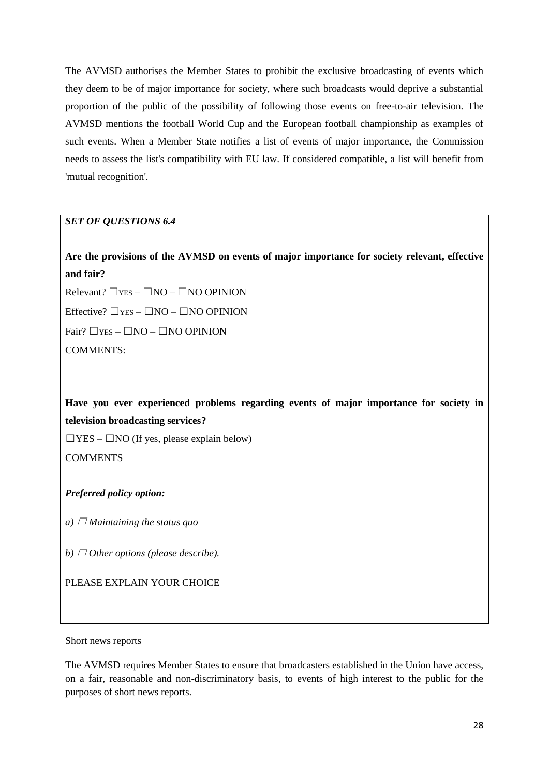The AVMSD authorises the Member States to prohibit the exclusive broadcasting of events which they deem to be of major importance for society, where such broadcasts would deprive a substantial proportion of the public of the possibility of following those events on free-to-air television. The AVMSD mentions the football World Cup and the European football championship as examples of such events. When a Member State notifies a list of events of major importance, the Commission needs to assess the list's compatibility with EU law. If considered compatible, a list will benefit from 'mutual recognition'.

### *SET OF QUESTIONS 6.4*

**Are the provisions of the AVMSD on events of major importance for society relevant, effective and fair?**

 $Relevant? \square$  YES –  $\square$ NO –  $\square$ NO OPINION

Effective?  $\Box$ YES –  $\Box$ NO –  $\Box$ NO OPINION

 $Fair? \square$ YES –  $\square$ NO –  $\square$ NO OPINION

COMMENTS:

**Have you ever experienced problems regarding events of major importance for society in television broadcasting services?**

 $\Box$ YES –  $\Box$ NO (If yes, please explain below) **COMMENTS** 

*Preferred policy option:*

*a*)  $\Box$  *Maintaining the status quo* 

*b*)  $\Box$  *Other options (please describe).* 

PLEASE EXPLAIN YOUR CHOICE

#### Short news reports

The AVMSD requires Member States to ensure that broadcasters established in the Union have access, on a fair, reasonable and non-discriminatory basis, to events of high interest to the public for the purposes of short news reports.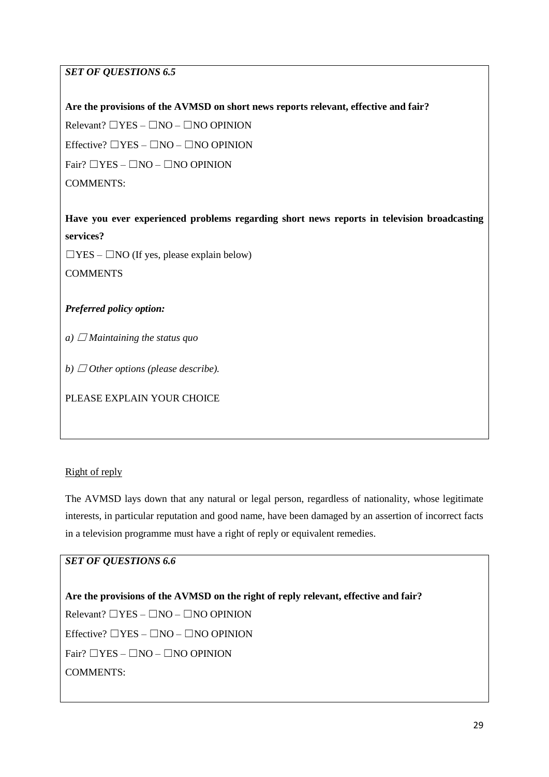# *SET OF QUESTIONS 6.5*

**Are the provisions of the AVMSD on short news reports relevant, effective and fair?** Relevant?  $\Box$ YES –  $\Box$ NO –  $\Box$ NO OPINION Effective?  $\Box$ YES –  $\Box$ NO –  $\Box$ NO OPINION Fair? ☐YES – ☐NO – ☐NO OPINION COMMENTS:

**Have you ever experienced problems regarding short news reports in television broadcasting services?**

 $\Box$ YES –  $\Box$ NO (If yes, please explain below) **COMMENTS** 

# *Preferred policy option:*

*a*)  $\Box$  *Maintaining the status quo* 

*b*)  $\Box$  *Other options (please describe).* 

PLEASE EXPLAIN YOUR CHOICE

### Right of reply

The AVMSD lays down that any natural or legal person, regardless of nationality, whose legitimate interests, in particular reputation and good name, have been damaged by an assertion of incorrect facts in a television programme must have a right of reply or equivalent remedies.

# *SET OF QUESTIONS 6.6*

**Are the provisions of the AVMSD on the right of reply relevant, effective and fair?** Relevant?  $\Box$ YES –  $\Box$ NO –  $\Box$ NO OPINION Effective?  $\Box$ YES –  $\Box$ NO –  $\Box$ NO OPINION Fair?  $\Box$ YES –  $\Box$ NO –  $\Box$ NO OPINION COMMENTS: